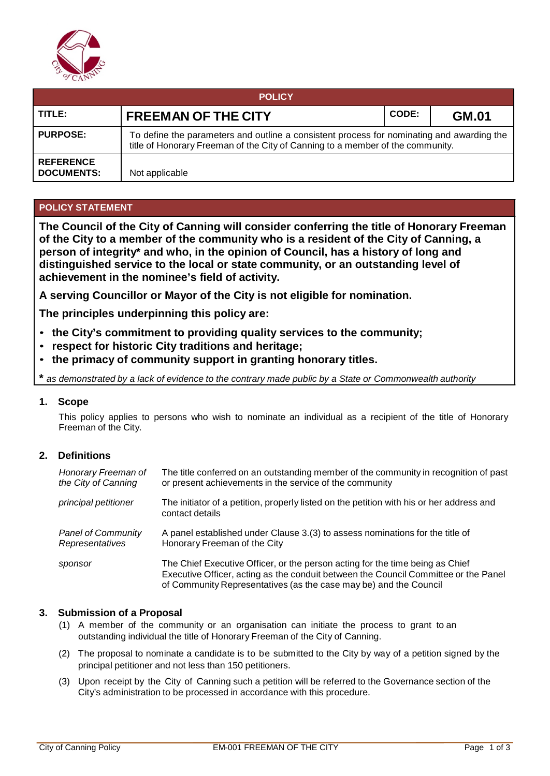

| <b>POLICY</b>                         |                                                                                                                                                                             |       |              |  |  |  |
|---------------------------------------|-----------------------------------------------------------------------------------------------------------------------------------------------------------------------------|-------|--------------|--|--|--|
| TITLE:                                | <b>FREEMAN OF THE CITY</b>                                                                                                                                                  | CODE: | <b>GM.01</b> |  |  |  |
| <b>PURPOSE:</b>                       | To define the parameters and outline a consistent process for nominating and awarding the<br>title of Honorary Freeman of the City of Canning to a member of the community. |       |              |  |  |  |
| <b>REFERENCE</b><br><b>DOCUMENTS:</b> | Not applicable                                                                                                                                                              |       |              |  |  |  |

# **POLICY STATEMENT**

**The Council of the City of Canning will consider conferring the title of Honorary Freeman of the City to a member of the community who is a resident of the City of Canning, a person of integrity\* and who, in the opinion of Council, has a history of long and distinguished service to the local or state community, or an outstanding level of achievement in the nominee's field of activity.**

**A serving Councillor or Mayor of the City is not eligible for nomination.** 

**The principles underpinning this policy are:**

- **the City's commitment to providing quality services to the community;**
- **respect for historic City traditions and heritage;**
- **the primacy of community support in granting honorary titles.**

as demonstrated by a lack of evidence to the contrary made public by a State or Commonwealth authority

### **1. Scope**

This policy applies to persons who wish to nominate an individual as a recipient of the title of Honorary Freeman of the City.

## **2. Definitions**

| Honorary Freeman of       | The title conferred on an outstanding member of the community in recognition of past                                                                                                                                                      |
|---------------------------|-------------------------------------------------------------------------------------------------------------------------------------------------------------------------------------------------------------------------------------------|
| the City of Canning       | or present achievements in the service of the community                                                                                                                                                                                   |
| principal petitioner      | The initiator of a petition, properly listed on the petition with his or her address and<br>contact details                                                                                                                               |
| <b>Panel of Community</b> | A panel established under Clause 3.(3) to assess nominations for the title of                                                                                                                                                             |
| Representatives           | Honorary Freeman of the City                                                                                                                                                                                                              |
| sponsor                   | The Chief Executive Officer, or the person acting for the time being as Chief<br>Executive Officer, acting as the conduit between the Council Committee or the Panel<br>of Community Representatives (as the case may be) and the Council |

#### **3. Submission of a Proposal**

- (1) A member of the community or an organisation can initiate the process to grant to an outstanding individual the title of Honorary Freeman of the City of Canning.
- (2) The proposal to nominate a candidate is to be submitted to the City by way of a petition signed by the principal petitioner and not less than 150 petitioners.
- (3) Upon receipt by the City of Canning such a petition will be referred to the Governance section of the City's administration to be processed in accordance with this procedure.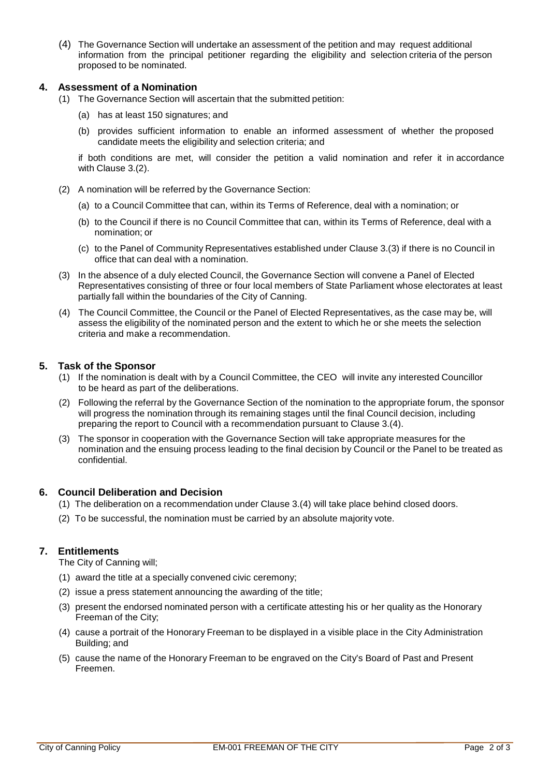(4) The Governance Section will undertake an assessment of the petition and may request additional information from the principal petitioner regarding the eligibility and selection criteria of the person proposed to be nominated.

### **4. Assessment of a Nomination**

- (1) The Governance Section will ascertain that the submitted petition:
	- (a) has at least 150 signatures; and
	- (b) provides sufficient information to enable an informed assessment of whether the proposed candidate meets the eligibility and selection criteria; and

if both conditions are met, will consider the petition a valid nomination and refer it in accordance with Clause 3.(2).

- (2) A nomination will be referred by the Governance Section:
	- (a) to a Council Committee that can, within its Terms of Reference, deal with a nomination; or
	- (b) to the Council if there is no Council Committee that can, within its Terms of Reference, deal with a nomination; or
	- (c) to the Panel of Community Representatives established under Clause 3.(3) if there is no Council in office that can deal with a nomination.
- (3) In the absence of a duly elected Council, the Governance Section will convene a Panel of Elected Representatives consisting of three or four local members of State Parliament whose electorates at least partially fall within the boundaries of the City of Canning.
- (4) The Council Committee, the Council or the Panel of Elected Representatives, as the case may be, will assess the eligibility of the nominated person and the extent to which he or she meets the selection criteria and make a recommendation.

### **5. Task of the Sponsor**

- (1) If the nomination is dealt with by a Council Committee, the CEO will invite any interested Councillor to be heard as part of the deliberations.
- (2) Following the referral by the Governance Section of the nomination to the appropriate forum, the sponsor will progress the nomination through its remaining stages until the final Council decision, including preparing the report to Council with a recommendation pursuant to Clause 3.(4).
- (3) The sponsor in cooperation with the Governance Section will take appropriate measures for the nomination and the ensuing process leading to the final decision by Council or the Panel to be treated as confidential.

#### **6. Council Deliberation and Decision**

- (1) The deliberation on a recommendation under Clause 3.(4) will take place behind closed doors.
- (2) To be successful, the nomination must be carried by an absolute majority vote.

## **7. Entitlements**

The City of Canning will;

- (1) award the title at a specially convened civic ceremony;
- (2) issue a press statement announcing the awarding of the title;
- (3) present the endorsed nominated person with a certificate attesting his or her quality as the Honorary Freeman of the City;
- (4) cause a portrait of the Honorary Freeman to be displayed in a visible place in the City Administration Building; and
- (5) cause the name of the Honorary Freeman to be engraved on the City's Board of Past and Present Freemen.